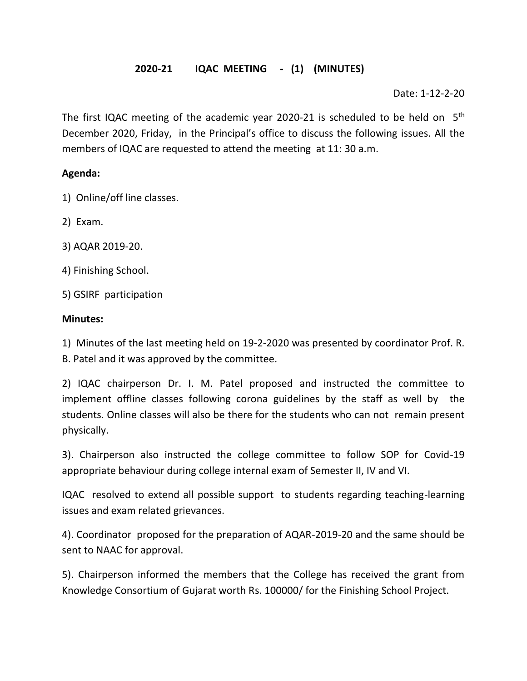## **2020-21 IQAC MEETING - (1) (MINUTES)**

Date: 1-12-2-20

The first IQAC meeting of the academic year 2020-21 is scheduled to be held on  $5<sup>th</sup>$ December 2020, Friday, in the Principal's office to discuss the following issues. All the members of IQAC are requested to attend the meeting at 11: 30 a.m.

#### **Agenda:**

- 1) Online/off line classes.
- 2) Exam.
- 3) AQAR 2019-20.
- 4) Finishing School.
- 5) GSIRF participation

#### **Minutes:**

1) Minutes of the last meeting held on 19-2-2020 was presented by coordinator Prof. R. B. Patel and it was approved by the committee.

2) IQAC chairperson Dr. I. M. Patel proposed and instructed the committee to implement offline classes following corona guidelines by the staff as well by the students. Online classes will also be there for the students who can not remain present physically.

3). Chairperson also instructed the college committee to follow SOP for Covid-19 appropriate behaviour during college internal exam of Semester II, IV and VI.

IQAC resolved to extend all possible support to students regarding teaching-learning issues and exam related grievances.

4). Coordinator proposed for the preparation of AQAR-2019-20 and the same should be sent to NAAC for approval.

5). Chairperson informed the members that the College has received the grant from Knowledge Consortium of Gujarat worth Rs. 100000/ for the Finishing School Project.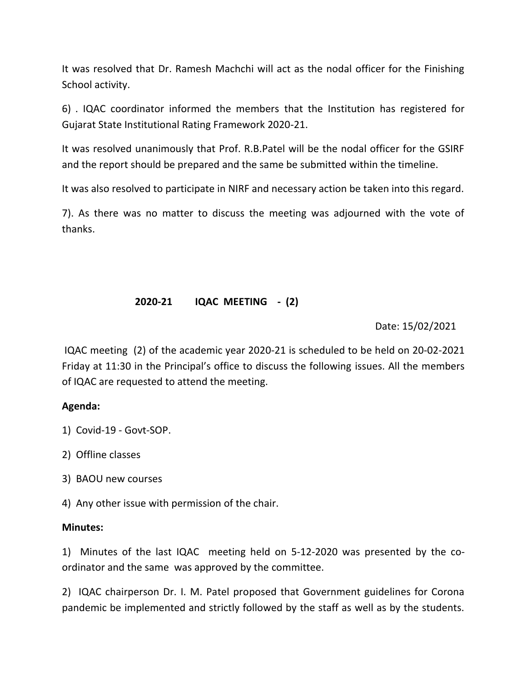It was resolved that Dr. Ramesh Machchi will act as the nodal officer for the Finishing School activity.

6) . IQAC coordinator informed the members that the Institution has registered for Gujarat State Institutional Rating Framework 2020-21.

It was resolved unanimously that Prof. R.B.Patel will be the nodal officer for the GSIRF and the report should be prepared and the same be submitted within the timeline.

It was also resolved to participate in NIRF and necessary action be taken into this regard.

7). As there was no matter to discuss the meeting was adjourned with the vote of thanks.

### **2020-21 IQAC MEETING - (2)**

Date: 15/02/2021

IQAC meeting (2) of the academic year 2020-21 is scheduled to be held on 20-02-2021 Friday at 11:30 in the Principal's office to discuss the following issues. All the members of IQAC are requested to attend the meeting.

#### **Agenda:**

- 1) Covid-19 Govt-SOP.
- 2) Offline classes
- 3) BAOU new courses
- 4) Any other issue with permission of the chair.

#### **Minutes:**

1) Minutes of the last IQAC meeting held on 5-12-2020 was presented by the coordinator and the same was approved by the committee.

2) IQAC chairperson Dr. I. M. Patel proposed that Government guidelines for Corona pandemic be implemented and strictly followed by the staff as well as by the students.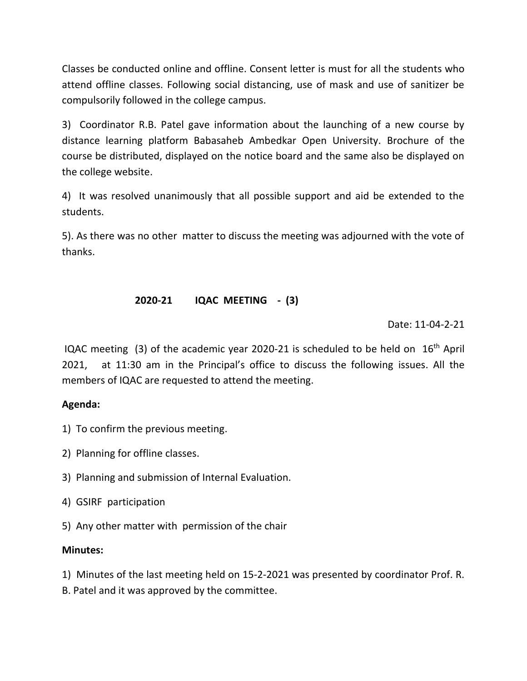Classes be conducted online and offline. Consent letter is must for all the students who attend offline classes. Following social distancing, use of mask and use of sanitizer be compulsorily followed in the college campus.

3) Coordinator R.B. Patel gave information about the launching of a new course by distance learning platform Babasaheb Ambedkar Open University. Brochure of the course be distributed, displayed on the notice board and the same also be displayed on the college website.

4) It was resolved unanimously that all possible support and aid be extended to the students.

5). As there was no other matter to discuss the meeting was adjourned with the vote of thanks.

# **2020-21 IQAC MEETING - (3)**

Date: 11-04-2-21

IQAC meeting (3) of the academic year 2020-21 is scheduled to be held on  $16<sup>th</sup>$  April 2021, at 11:30 am in the Principal's office to discuss the following issues. All the members of IQAC are requested to attend the meeting.

#### **Agenda:**

- 1) To confirm the previous meeting.
- 2) Planning for offline classes.
- 3) Planning and submission of Internal Evaluation.
- 4) GSIRF participation
- 5) Any other matter with permission of the chair

#### **Minutes:**

1) Minutes of the last meeting held on 15-2-2021 was presented by coordinator Prof. R.

B. Patel and it was approved by the committee.